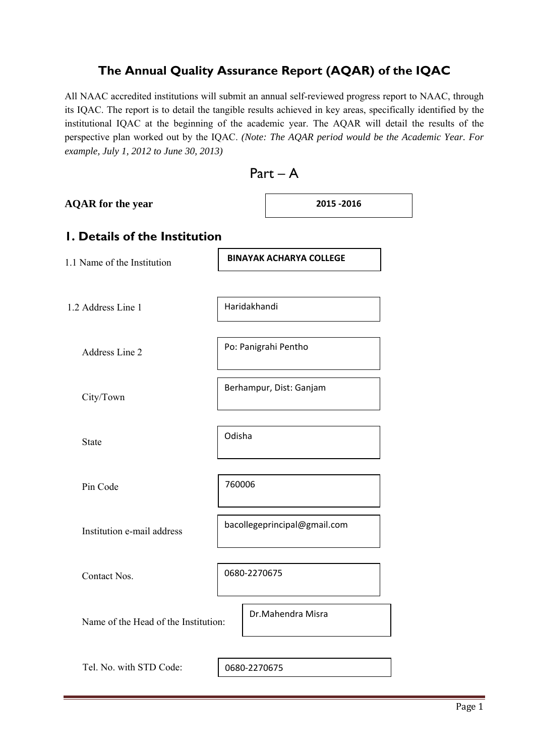# **The Annual Quality Assurance Report (AQAR) of the IQAC**

All NAAC accredited institutions will submit an annual self-reviewed progress report to NAAC, through its IQAC. The report is to detail the tangible results achieved in key areas, specifically identified by the institutional IQAC at the beginning of the academic year. The AQAR will detail the results of the perspective plan worked out by the IQAC. *(Note: The AQAR period would be the Academic Year. For example, July 1, 2012 to June 30, 2013)* 

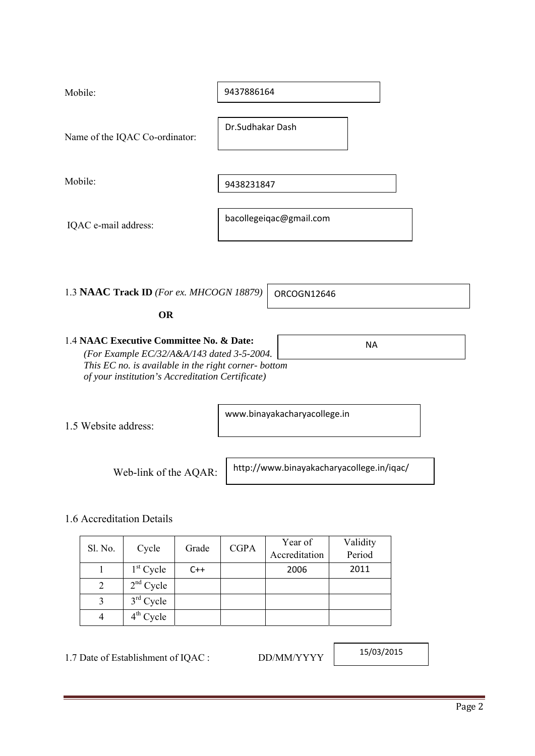| Mobile:                                  | 9437886164              |
|------------------------------------------|-------------------------|
| Name of the IQAC Co-ordinator:           | Dr.Sudhakar Dash        |
| Mobile:                                  | 9438231847              |
| IQAC e-mail address:                     | bacollegeiqac@gmail.com |
|                                          |                         |
| 1.3 NAAC Track ID (For ex. MHCOGN 18879) | ORCOGN12646             |

#### **OR**

| 1.4 NAAC Executive Committee No. & Date:            | ΝA |
|-----------------------------------------------------|----|
| (For Example $EC/32/A$ &A/143 dated 3-5-2004.)      |    |
| This EC no. is available in the right corner-bottom |    |
| of your institution's Accreditation Certificate)    |    |

1.5 Website address:

www.binayakacharyacollege.in

Web-link of the AQAR:

http://www.binayakacharyacollege.in/iqac/

### 1.6 Accreditation Details

|         |             |       | <b>CGPA</b> | Year of       | Validity |
|---------|-------------|-------|-------------|---------------|----------|
| Sl. No. | Cycle       | Grade |             | Accreditation | Period   |
|         | $1st$ Cycle | $C++$ |             | 2006          | 2011     |
| 2       | $2nd$ Cycle |       |             |               |          |
|         | $3rd$ Cycle |       |             |               |          |
|         | $4th$ Cycle |       |             |               |          |

1.7 Date of Establishment of IQAC : DD/MM/YYYY

15/03/2015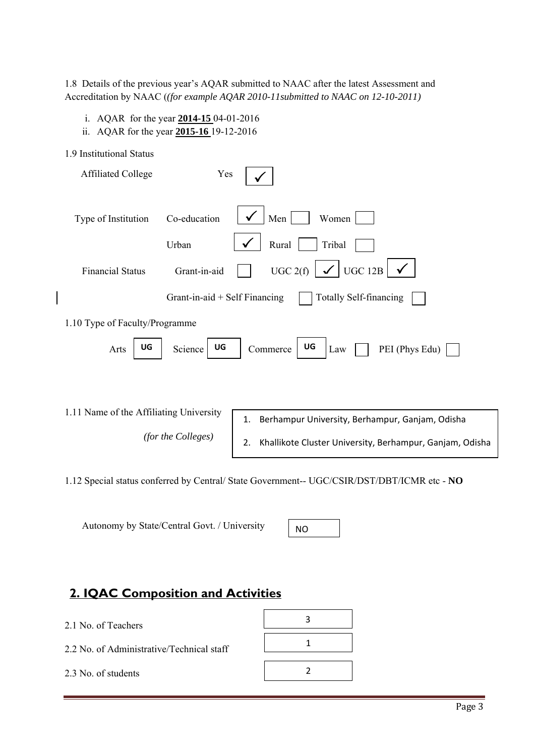1.8 Details of the previous year's AQAR submitted to NAAC after the latest Assessment and Accreditation by NAAC (*(for example AQAR 2010-11submitted to NAAC on 12-10-2011)*

- i. AQAR for the year **2014-15** 04-01-2016
- ii. AQAR for the year **2015-16** 19-12-2016

| 1.9 Institutional Status                |                                 |                                                                |
|-----------------------------------------|---------------------------------|----------------------------------------------------------------|
| <b>Affiliated College</b>               | Yes                             |                                                                |
|                                         |                                 |                                                                |
| Type of Institution                     | Co-education                    | Men<br>Women                                                   |
|                                         | Urban                           | Rural<br>Tribal                                                |
| <b>Financial Status</b>                 | Grant-in-aid                    | $\checkmark$ UGC 12B<br>UGC 2(f)                               |
|                                         | Grant-in-aid $+$ Self Financing | <b>Totally Self-financing</b>                                  |
| 1.10 Type of Faculty/Programme          |                                 |                                                                |
| UG<br>Arts                              | UG<br>Science                   | UG<br>PEI (Phys Edu)<br>Law<br>Commerce                        |
|                                         |                                 |                                                                |
|                                         |                                 |                                                                |
| 1.11 Name of the Affiliating University |                                 | Berhampur University, Berhampur, Ganjam, Odisha<br>1.          |
|                                         | (for the Colleges)              | Khallikote Cluster University, Berhampur, Ganjam, Odisha<br>2. |
|                                         |                                 |                                                                |

1.12 Special status conferred by Central/ State Government-- UGC/CSIR/DST/DBT/ICMR etc - **NO**

Autonomy by State/Central Govt. / University

NO

# **2. IQAC Composition and Activities**

- 2.1 No. of Teachers
- 2.2 No. of Administrative/Technical staff

2.3 No. of students

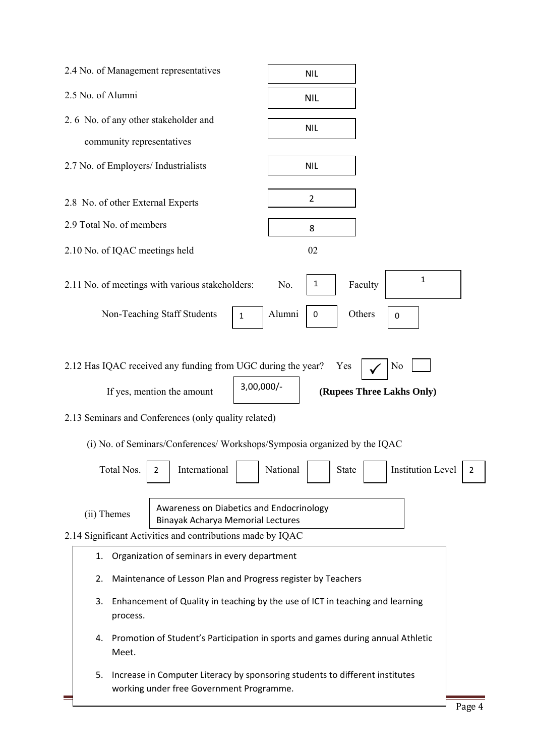| 2.4 No. of Management representatives                                                                                          | <b>NIL</b>                                                                      |
|--------------------------------------------------------------------------------------------------------------------------------|---------------------------------------------------------------------------------|
| 2.5 No. of Alumni                                                                                                              | <b>NIL</b>                                                                      |
| 2.6 No. of any other stakeholder and                                                                                           | <b>NIL</b>                                                                      |
| community representatives                                                                                                      |                                                                                 |
| 2.7 No. of Employers/ Industrialists                                                                                           | <b>NIL</b>                                                                      |
| 2.8 No. of other External Experts                                                                                              | $\overline{2}$                                                                  |
| 2.9 Total No. of members                                                                                                       | 8                                                                               |
| 2.10 No. of IQAC meetings held                                                                                                 | 02                                                                              |
| 2.11 No. of meetings with various stakeholders:<br>Non-Teaching Staff Students<br>$\mathbf{1}$                                 | 1<br>$\mathbf{1}$<br>Faculty<br>No.<br>Alumni<br>Others<br>$\bf{0}$<br>0        |
| 2.12 Has IQAC received any funding from UGC during the year?                                                                   | N <sub>0</sub><br>Yes                                                           |
| $3,00,000/-$<br>If yes, mention the amount                                                                                     | (Rupees Three Lakhs Only)                                                       |
| 2.13 Seminars and Conferences (only quality related)                                                                           |                                                                                 |
| (i) No. of Seminars/Conferences/ Workshops/Symposia organized by the IQAC<br>Total Nos.<br>International<br>2                  | <b>Institution Level</b><br>National<br><b>State</b><br>2                       |
| Awareness on Diabetics and Endocrinology<br>(ii) Themes<br><b>Binayak Acharya Memorial Lectures</b>                            |                                                                                 |
| 2.14 Significant Activities and contributions made by IQAC                                                                     |                                                                                 |
| Organization of seminars in every department<br>1.                                                                             |                                                                                 |
| Maintenance of Lesson Plan and Progress register by Teachers<br>2.                                                             |                                                                                 |
| 3.<br>Enhancement of Quality in teaching by the use of ICT in teaching and learning<br>process.                                |                                                                                 |
| 4.<br>Meet.                                                                                                                    | Promotion of Student's Participation in sports and games during annual Athletic |
| 5.<br>Increase in Computer Literacy by sponsoring students to different institutes<br>working under free Government Programme. | Page 4                                                                          |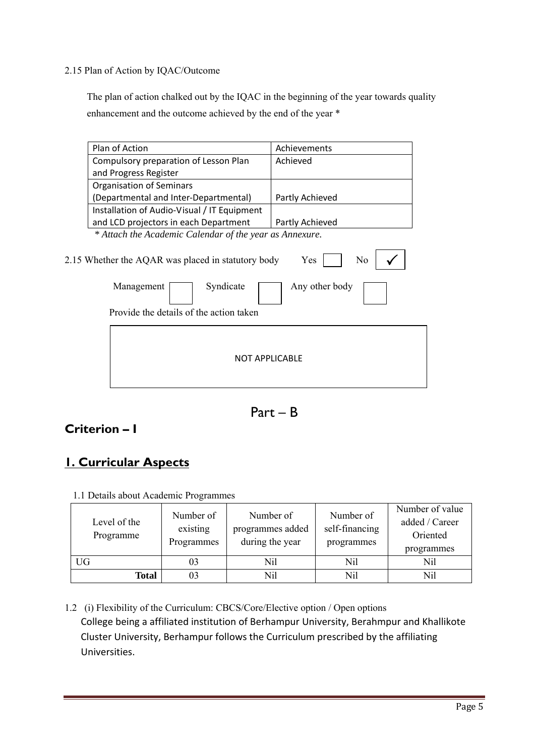2.15 Plan of Action by IQAC/Outcome

 The plan of action chalked out by the IQAC in the beginning of the year towards quality enhancement and the outcome achieved by the end of the year \*

| Plan of Action                                                                                                           | Achievements                            |
|--------------------------------------------------------------------------------------------------------------------------|-----------------------------------------|
| Compulsory preparation of Lesson Plan                                                                                    | Achieved                                |
| and Progress Register                                                                                                    |                                         |
| <b>Organisation of Seminars</b>                                                                                          |                                         |
| (Departmental and Inter-Departmental)                                                                                    | Partly Achieved                         |
| Installation of Audio-Visual / IT Equipment                                                                              |                                         |
| and LCD projectors in each Department                                                                                    | Partly Achieved                         |
| * Attach the Academic Calendar of the year as Annexure.                                                                  |                                         |
| 2.15 Whether the AQAR was placed in statutory body<br>Syndicate<br>Management<br>Provide the details of the action taken | Yes<br>N <sub>0</sub><br>Any other body |
| <b>NOT APPLICABLE</b>                                                                                                    |                                         |
|                                                                                                                          |                                         |

Part – B

# **Criterion – I**

# **1. Curricular Aspects**

| Level of the<br>Programme | Number of<br>existing<br>Programmes | Number of<br>programmes added<br>during the year | Number of<br>self-financing<br>programmes | Number of value<br>added / Career<br>Oriented<br>programmes |
|---------------------------|-------------------------------------|--------------------------------------------------|-------------------------------------------|-------------------------------------------------------------|
| UG                        | 03                                  | Nil                                              | Nil                                       | Nil                                                         |
| <b>Total</b>              | 03                                  | Nil                                              | Nil                                       | Nil                                                         |

1.1 Details about Academic Programmes

1.2 (i) Flexibility of the Curriculum: CBCS/Core/Elective option / Open options College being a affiliated institution of Berhampur University, Berahmpur and Khallikote Cluster University, Berhampur follows the Curriculum prescribed by the affiliating Universities.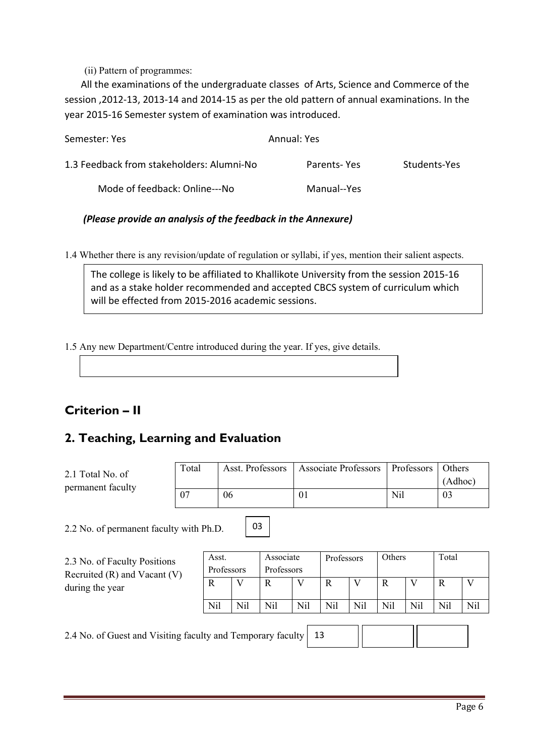(ii) Pattern of programmes:

All the examinations of the undergraduate classes of Arts, Science and Commerce of the session ,2012‐13, 2013‐14 and 2014‐15 as per the old pattern of annual examinations. In the year 2015‐16 Semester system of examination was introduced.

| Semester: Yes                             | Annual: Yes |              |
|-------------------------------------------|-------------|--------------|
| 1.3 Feedback from stakeholders: Alumni-No | Parents-Yes | Students-Yes |
| Mode of feedback: Online---No             | Manual--Yes |              |

#### *(Please provide an analysis of the feedback in the Annexure)*

1.4 Whether there is any revision/update of regulation or syllabi, if yes, mention their salient aspects.

The college is likely to be affiliated to Khallikote University from the session 2015‐16 and as a stake holder recommended and accepted CBCS system of curriculum which will be effected from 2015‐2016 academic sessions.

1.5 Any new Department/Centre introduced during the year. If yes, give details.

# **Criterion – II**

# **2. Teaching, Learning and Evaluation**

| 2.1 Total No. of<br>permanent faculty   | Total |            | Asst. Professors |            |     |              | <b>Associate Professors</b> |        | Professors | Others<br>(Adhoc) |     |
|-----------------------------------------|-------|------------|------------------|------------|-----|--------------|-----------------------------|--------|------------|-------------------|-----|
|                                         | 07    | 06         |                  |            | 01  |              |                             | Nil    |            | 03                |     |
| 2.2 No. of permanent faculty with Ph.D. |       |            | 03               |            |     |              |                             |        |            |                   |     |
| 2.3 No. of Faculty Positions            |       | Asst.      |                  | Associate  |     | Professors   |                             | Others |            | Total             |     |
| Recruited $(R)$ and Vacant $(V)$        |       | Professors |                  | Professors |     |              |                             |        |            |                   |     |
| during the year                         |       | R          | V                | R          | V   | $\mathbb{R}$ | V                           | R      | V          | R                 | V   |
|                                         |       | Nil        | Nil              | Nil        | Nil | Nil          | Nil                         | Nil    | Nil        | Nil               | Nil |
|                                         |       |            |                  |            |     |              |                             |        |            |                   |     |

2.4 No. of Guest and Visiting faculty and Temporary faculty 13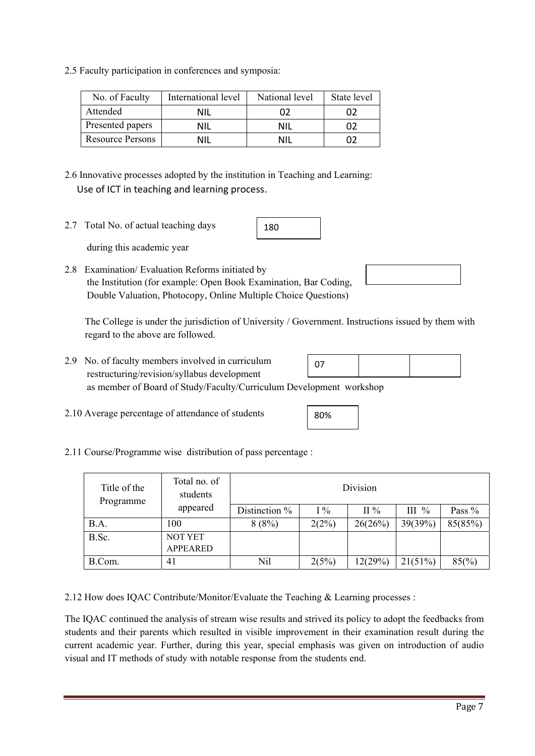2.12 How does IQAC Contribute/Monitor/Evaluate the Teaching & Learning processes :

# Division

- 
- 
- 2.11 Course/Programme wise distribution of pass percentage :

| Title of the<br>Programme | Total no. of<br>students<br>appeared | Division      |       |         |          |          |  |  |
|---------------------------|--------------------------------------|---------------|-------|---------|----------|----------|--|--|
|                           |                                      | Distinction % | $I\%$ | $\Pi\%$ | III $\%$ | Pass $%$ |  |  |
| B.A.                      | 100                                  | 8(8%)         | 2(2%) | 26(26%) | 39(39%)  | 85(85%)  |  |  |
| B.Sc.                     | <b>NOT YET</b>                       |               |       |         |          |          |  |  |
|                           | <b>APPEARED</b>                      |               |       |         |          |          |  |  |

80%

B.Com. 41 Nil  $2(5\%)$   $12(29\%)$   $21(51\%)$   $85(\%)$ 

The IQAC continued the analysis of stream wise results and strived its policy to adopt the feedbacks from students and their parents which resulted in visible improvement in their examination result during the current academic year. Further, during this year, special emphasis was given on introduction of audio

2.8 Examination/ Evaluation Reforms initiated by the Institution (for example: Open Book Examination, Bar Coding,

180

ructions issued by them with regard to the above are followed.

| Double Valuation, Photocopy, Online Multiple Choice Questions)          |
|-------------------------------------------------------------------------|
| The College is under the jurisdiction of University / Government. Instr |

2.9 No. of faculty members involved in curriculum 07

visual and IT methods of study with notable response from the students end.

restructuring/revision/syllabus development

as member of Board of Study/Faculty/Curriculum Development workshop

2.10 Average percentage of attendance of students

Page 7

2.5 Faculty participation in conferences and symposia:

Use of ICT in teaching and learning process.

2.7 Total No. of actual teaching days

during this academic year

| No. of Faculty          | International level | National level | State level |
|-------------------------|---------------------|----------------|-------------|
| Attended                | NII                 |                |             |
| Presented papers        | ΝIΙ                 | NIL            |             |
| <b>Resource Persons</b> | NII                 | NII            |             |

2.6 Innovative processes adopted by the institution in Teaching and Learning:

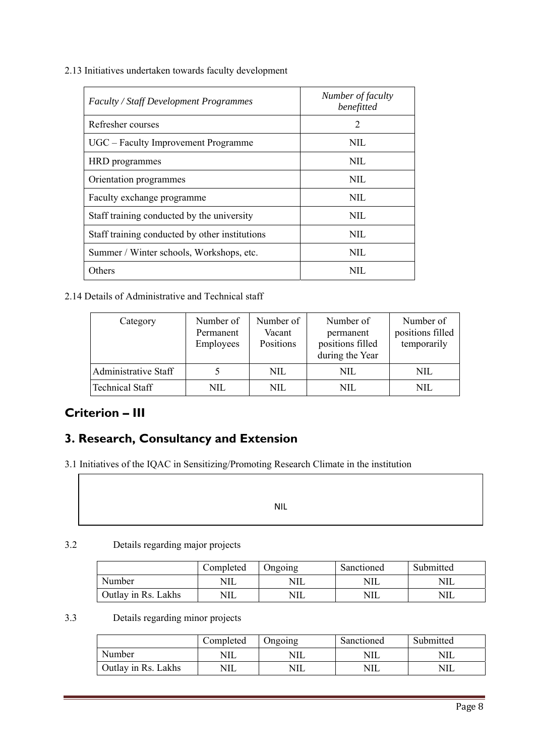2.13 Initiatives undertaken towards faculty development

| <b>Faculty / Staff Development Programmes</b>  | Number of faculty<br>benefitted |
|------------------------------------------------|---------------------------------|
| Refresher courses                              | 2                               |
| UGC – Faculty Improvement Programme            | NIL.                            |
| HRD programmes                                 | NIL.                            |
| Orientation programmes                         | NIL                             |
| Faculty exchange programme                     | NIL.                            |
| Staff training conducted by the university     | NIL                             |
| Staff training conducted by other institutions | NIL.                            |
| Summer / Winter schools, Workshops, etc.       | NIL.                            |
| Others                                         | NIL.                            |

2.14 Details of Administrative and Technical staff

| Category               | Number of<br>Permanent<br>Employees | Number of<br>Vacant<br>Positions | Number of<br>permanent<br>positions filled<br>during the Year | Number of<br>positions filled<br>temporarily |
|------------------------|-------------------------------------|----------------------------------|---------------------------------------------------------------|----------------------------------------------|
| Administrative Staff   |                                     | NIL.                             | NIL                                                           | NIL.                                         |
| <b>Technical Staff</b> | NIL.                                | NIL                              | NIL.                                                          | NIL.                                         |

# **Criterion – III**

# **3. Research, Consultancy and Extension**

3.1 Initiatives of the IQAC in Sensitizing/Promoting Research Climate in the institution

NIL

#### 3.2 Details regarding major projects

|                     | Completed | Jngoing | Sanctioned | Submitted |
|---------------------|-----------|---------|------------|-----------|
| Number              | NIL       | NIL     | NIL        |           |
| Outlay in Rs. Lakhs | NIL       | NIL     | NIL        |           |

#### 3.3 Details regarding minor projects

|                     | Completed | Jngoing    | Sanctioned | Submitted  |
|---------------------|-----------|------------|------------|------------|
| Number              | NIL       | <b>NIL</b> | 'NIL       | <b>NIL</b> |
| Outlay in Rs. Lakhs | NIL       | NIL        | NIL        | NIL        |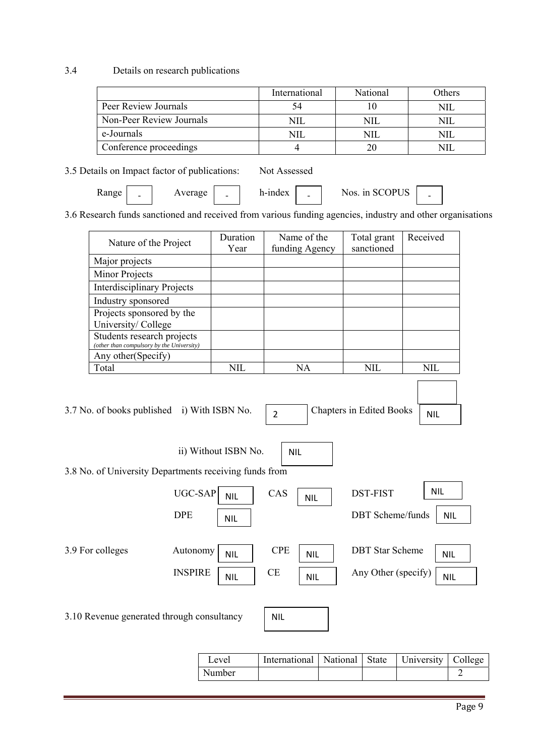#### 3.4 Details on research publications

|                          | International | National | Others |
|--------------------------|---------------|----------|--------|
| Peer Review Journals     | 54            |          |        |
| Non-Peer Review Journals |               | NII      |        |
| e-Journals               | NIL           | NII      |        |
| Conference proceedings   |               |          |        |

|  |  | 3.5 Details on Impact factor of publications: | Not Assessed |
|--|--|-----------------------------------------------|--------------|
|  |  |                                               |              |

Range  $\vert$   $\vert$  Average  $\vert$   $\vert$  h-index  $\vert$   $\vert$  Nos. in SCOPUS  $\vert$   $\vert$ ‐

3.6 Research funds sanctioned and received from various funding agencies, industry and other organisations

| Nature of the Project                                                   | Duration<br>Year     | Name of the<br>funding Agency | Total grant<br>sanctioned | Received   |
|-------------------------------------------------------------------------|----------------------|-------------------------------|---------------------------|------------|
| Major projects                                                          |                      |                               |                           |            |
| Minor Projects                                                          |                      |                               |                           |            |
| <b>Interdisciplinary Projects</b>                                       |                      |                               |                           |            |
| Industry sponsored                                                      |                      |                               |                           |            |
| Projects sponsored by the<br>University/College                         |                      |                               |                           |            |
| Students research projects<br>(other than compulsory by the University) |                      |                               |                           |            |
| Any other(Specify)                                                      |                      |                               |                           |            |
| Total                                                                   | <b>NIL</b>           | <b>NA</b>                     | <b>NIL</b>                | <b>NIL</b> |
| 3.8 No. of University Departments receiving funds from                  | ii) Without ISBN No. | <b>NIL</b>                    |                           |            |
| <b>UGC-SAP</b>                                                          |                      | CAS                           | <b>DST-FIST</b>           | <b>NIL</b> |
|                                                                         | <b>NIL</b>           | <b>NIL</b>                    |                           |            |
| <b>DPE</b>                                                              | <b>NIL</b>           |                               | <b>DBT</b> Scheme/funds   | <b>NIL</b> |
| 3.9 For colleges<br>Autonomy                                            | <b>NIL</b>           | <b>CPE</b><br><b>NIL</b>      | <b>DBT</b> Star Scheme    | <b>NIL</b> |
| <b>INSPIRE</b>                                                          | <b>NIL</b>           | <b>CE</b><br><b>NIL</b>       | Any Other (specify)       | <b>NIL</b> |
| 3.10 Revenue generated through consultancy                              |                      | <b>NIL</b>                    |                           |            |

| Level  | International   National   State   University   College |  |  |
|--------|---------------------------------------------------------|--|--|
| Number |                                                         |  |  |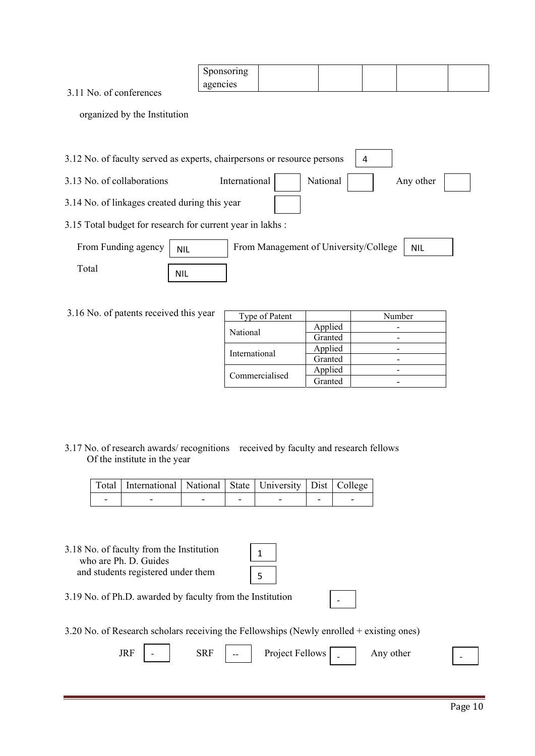|          | Sponsoring |  |  |  |
|----------|------------|--|--|--|
| $-1 - 1$ | agencies   |  |  |  |

3.11 No. of conferences

organized by the Institution

- 3.12 No. of faculty served as experts, chairpersons or resource persons 4
- 3.13 No. of collaborations International National National Any other
- 3.14 No. of linkages created during this year
- 3.15 Total budget for research for current year in lakhs :

| From Funding agency | <b>NIL</b> | From Management of University/College | <b>NIL</b> |
|---------------------|------------|---------------------------------------|------------|
| `otal               | <b>NIL</b> |                                       |            |

3.16 No. of patents received this year

| Type of Patent |         | Number |
|----------------|---------|--------|
| National       | Applied |        |
|                | Granted |        |
| International  | Applied |        |
|                | Granted |        |
|                | Applied |        |
| Commercialised | Granted |        |

3.17 No. of research awards/ recognitions received by faculty and research fellows Of the institute in the year

| Total International National State University Dist College |  |  |  |
|------------------------------------------------------------|--|--|--|
|                                                            |  |  |  |

3.18 No. of faculty from the Institution who are Ph. D. Guides and students registered under them

| 5 |  |
|---|--|

3.19 No. of Ph.D. awarded by faculty from the Institution

- ‐
- 3.20 No. of Research scholars receiving the Fellowships (Newly enrolled + existing ones)

| JRF | $SRF$ $\boxed{\phantom{a} \phantom{a}}$ Project Fellows $\boxed{\phantom{a} \phantom{a}}$ Any other |  |
|-----|-----------------------------------------------------------------------------------------------------|--|
|     |                                                                                                     |  |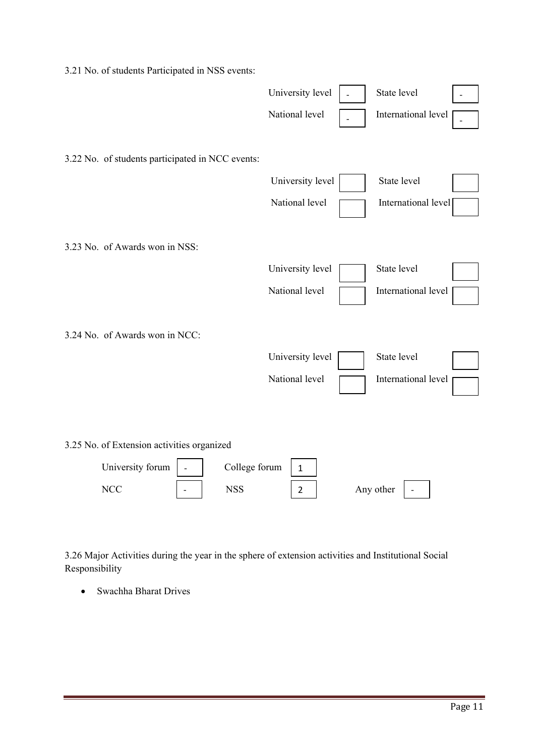| 3.21 No. of students Participated in NSS events: |                  |                     |
|--------------------------------------------------|------------------|---------------------|
|                                                  | University level | State level         |
|                                                  | National level   | International level |
| 3.22 No. of students participated in NCC events: |                  |                     |
|                                                  | University level | State level         |
|                                                  | National level   | International level |
| 3.23 No. of Awards won in NSS:                   |                  |                     |
|                                                  | University level | State level         |
|                                                  | National level   | International level |
| 3.24 No. of Awards won in NCC:                   |                  |                     |
|                                                  | University level | State level         |
|                                                  | National level   | International level |
|                                                  |                  |                     |
| 3.25 No. of Extension activities organized       |                  |                     |
| University forum<br>College forum                | $\mathbf{1}$     |                     |
| <b>NCC</b><br><b>NSS</b><br>$\overline{a}$       | $\overline{2}$   | Any other           |

3.26 Major Activities during the year in the sphere of extension activities and Institutional Social Responsibility

• Swachha Bharat Drives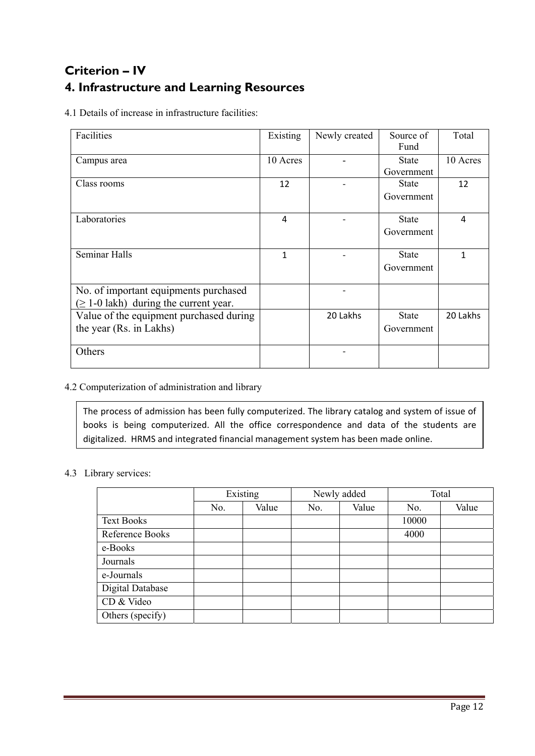# **Criterion – IV 4. Infrastructure and Learning Resources**

4.1 Details of increase in infrastructure facilities:

| Facilities                                  | Existing | Newly created | Source of    | Total    |
|---------------------------------------------|----------|---------------|--------------|----------|
|                                             |          |               | Fund         |          |
| Campus area                                 | 10 Acres |               | <b>State</b> | 10 Acres |
|                                             |          |               | Government   |          |
| Class rooms                                 | 12       |               | <b>State</b> | 12       |
|                                             |          |               | Government   |          |
|                                             |          |               |              |          |
| Laboratories                                | 4        |               | <b>State</b> | 4        |
|                                             |          |               | Government   |          |
|                                             |          |               |              |          |
| <b>Seminar Halls</b>                        | 1        |               | <b>State</b> | 1        |
|                                             |          |               | Government   |          |
|                                             |          |               |              |          |
| No. of important equipments purchased       |          |               |              |          |
| $(\geq 1$ -0 lakh) during the current year. |          |               |              |          |
| Value of the equipment purchased during     |          | 20 Lakhs      | <b>State</b> | 20 Lakhs |
|                                             |          |               |              |          |
| the year (Rs. in Lakhs)                     |          |               | Government   |          |
|                                             |          |               |              |          |
| Others                                      |          |               |              |          |
|                                             |          |               |              |          |

4.2 Computerization of administration and library

The process of admission has been fully computerized. The library catalog and system of issue of books is being computerized. All the office correspondence and data of the students are digitalized. HRMS and integrated financial management system has been made online.

#### 4.3 Library services:

|                         | Existing |       |     | Newly added |       | Total |
|-------------------------|----------|-------|-----|-------------|-------|-------|
|                         | No.      | Value | No. | Value       | No.   | Value |
| <b>Text Books</b>       |          |       |     |             | 10000 |       |
| Reference Books         |          |       |     |             | 4000  |       |
| e-Books                 |          |       |     |             |       |       |
| Journals                |          |       |     |             |       |       |
| e-Journals              |          |       |     |             |       |       |
| <b>Digital Database</b> |          |       |     |             |       |       |
| CD & Video              |          |       |     |             |       |       |
| Others (specify)        |          |       |     |             |       |       |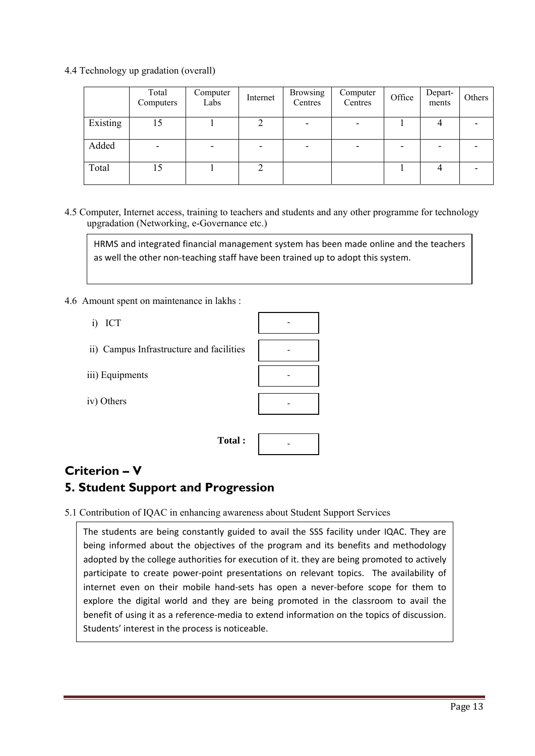4.4 Technology up gradation (overall)

|          | Total<br>Computers       | Computer<br>Labs | Internet | <b>Browsing</b><br>Centres | Computer<br>Centres | Office | Depart-<br>ments | Others |
|----------|--------------------------|------------------|----------|----------------------------|---------------------|--------|------------------|--------|
| Existing |                          |                  |          | $\overline{\phantom{0}}$   |                     |        |                  |        |
| Added    | $\overline{\phantom{0}}$ | ۰                |          |                            |                     |        |                  |        |
| Total    | 15                       |                  |          |                            |                     |        |                  |        |

4.5 Computer, Internet access, training to teachers and students and any other programme for technology upgradation (Networking, e-Governance etc.)

HRMS and integrated financial management system has been made online and the teachers as well the other non-teaching staff have been trained up to adopt this system.

- 4.6 Amount spent on maintenance in lakhs :
	- i) ICT
	- ii) Campus Infrastructure and facilities
	- iii) Equipments
	- iv) Others

 **Total :**   $\mathbb{R}^n \times \mathbb{R}^n \times \mathbb{R}^n$ 

# **Criterion – V**

## **5. Student Support and Progression**

5.1 Contribution of IQAC in enhancing awareness about Student Support Services

The students are being constantly guided to avail the SSS facility under IQAC. They are being informed about the objectives of the program and its benefits and methodology adopted by the college authorities for execution of it. they are being promoted to actively participate to create power‐point presentations on relevant topics. The availability of internet even on their mobile hand‐sets has open a never‐before scope for them to explore the digital world and they are being promoted in the classroom to avail the benefit of using it as a reference-media to extend information on the topics of discussion. Students' interest in the process is noticeable.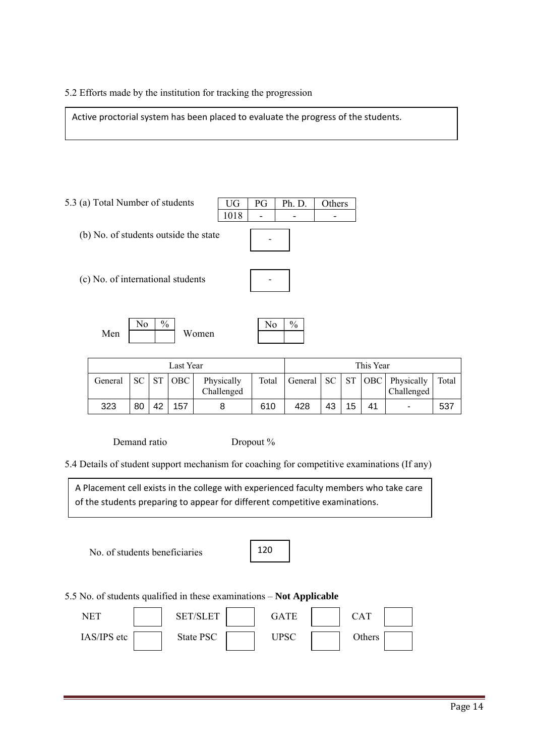#### 5.2 Efforts made by the institution for tracking the progression

L

Active proctorial system has been placed to evaluate the progress of the students.

5.3 (a) Total Number of students (b) No. of students outside the state (c) No. of international students Men Women UG | PG | Ph. D. | Others  $1018$  - -No  $\frac{9}{6}$  No  $\frac{9}{6}$ ‐ ‐

| Last Year |    |      |     |                          |       |              | This Year |    |    |                                     |       |
|-----------|----|------|-----|--------------------------|-------|--------------|-----------|----|----|-------------------------------------|-------|
| General   | SC | - ST | OBC | Physically<br>Challenged | Total | General   SC |           |    |    | ST   OBC   Physically<br>Challenged | Total |
| 323       | 80 | 42   | 157 |                          | 610   | 428          | 43        | 15 | 41 | ٠                                   | 537   |

Demand ratio Dropout %

5.4 Details of student support mechanism for coaching for competitive examinations (If any)

A Placement cell exists in the college with experienced faculty members who take care of the students preparing to appear for different competitive examinations.

No. of students beneficiaries

5.5 No. of students qualified in these examinations – **Not Applicable**

| NET         | <b>SET/SLET</b> | 7ATE        | CAT    |
|-------------|-----------------|-------------|--------|
| IAS/IPS etc | State PSC       | <b>JPSC</b> | Others |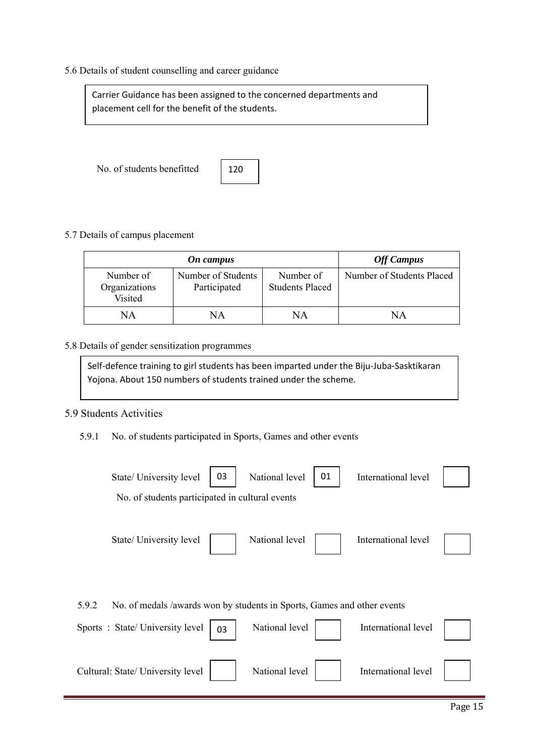#### 5.6 Details of student counselling and career guidance

Carrier Guidance has been assigned to the concerned departments and placement cell for the benefit of the students.

No. of students benefitted



#### 5.7 Details of campus placement

|                                       | <b>Off Campus</b>                  |                                     |                           |
|---------------------------------------|------------------------------------|-------------------------------------|---------------------------|
| Number of<br>Organizations<br>Visited | Number of Students<br>Participated | Number of<br><b>Students Placed</b> | Number of Students Placed |
| NΑ                                    | NΑ                                 | NΑ                                  | NΑ                        |

#### 5.8 Details of gender sensitization programmes

Self-defence training to girl students has been imparted under the Biju-Juba-Sasktikaran Yojona. About 150 numbers of students trained under the scheme.

#### 5.9 Students Activities

5.9.1 No. of students participated in Sports, Games and other events

| 03<br>State/ University level<br>No. of students participated in cultural events                                         | National level<br>01 | International level |  |
|--------------------------------------------------------------------------------------------------------------------------|----------------------|---------------------|--|
| State/ University level                                                                                                  | National level       | International level |  |
| 5.9.2<br>No. of medals /awards won by students in Sports, Games and other events<br>Sports: State/University level<br>03 | National level       | International level |  |
| Cultural: State/ University level                                                                                        | National level       | International level |  |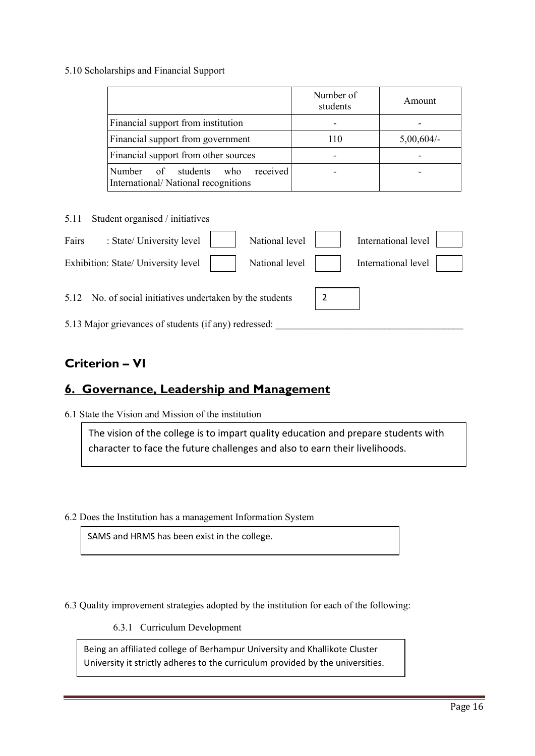#### 5.10 Scholarships and Financial Support

|                                                                              | Number of<br>students | Amount       |
|------------------------------------------------------------------------------|-----------------------|--------------|
| Financial support from institution                                           |                       |              |
| Financial support from government                                            | 110                   | $5,00,604/-$ |
| Financial support from other sources                                         |                       |              |
| received<br>Number of students<br>who<br>International/National recognitions |                       |              |

| 5.11  | Student organised / initiatives                           |                |                     |  |
|-------|-----------------------------------------------------------|----------------|---------------------|--|
| Fairs | : State/ University level                                 | National level | International level |  |
|       | Exhibition: State/ University level                       | National level | International level |  |
|       | 5.12 No. of social initiatives undertaken by the students |                |                     |  |
|       | 5.13 Major grievances of students (if any) redressed:     |                |                     |  |

# **Criterion – VI**

# **6. Governance, Leadership and Management**

6.1 State the Vision and Mission of the institution

The vision of the college is to impart quality education and prepare students with character to face the future challenges and also to earn their livelihoods.

6.2 Does the Institution has a management Information System

SAMS and HRMS has been exist in the college.

6.3 Quality improvement strategies adopted by the institution for each of the following:

6.3.1 Curriculum Development

Being an affiliated college of Berhampur University and Khallikote Cluster University it strictly adheres to the curriculum provided by the universities.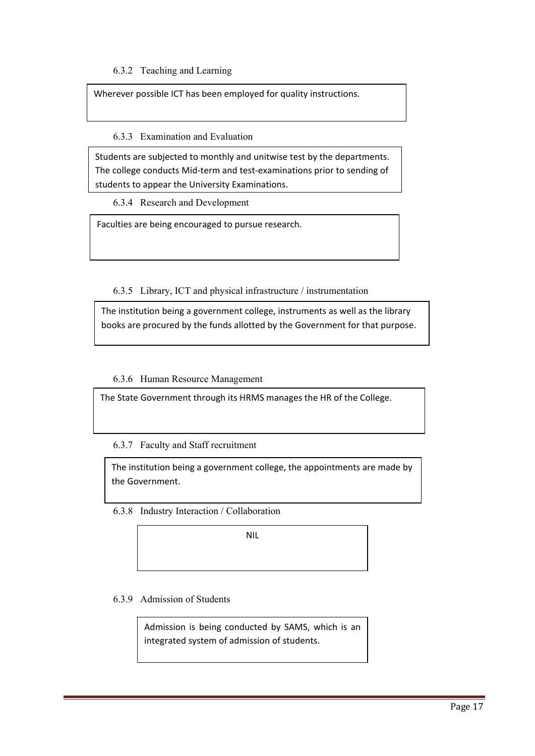#### 6.3.2 Teaching and Learning

Wherever possible ICT has been employed for quality instructions.

#### 6.3.3 Examination and Evaluation

Students are subjected to monthly and unitwise test by the departments. The college conducts Mid‐term and test‐examinations prior to sending of students to appear the University Examinations.

6.3.4 Research and Development

Faculties are being encouraged to pursue research.

#### 6.3.5 Library, ICT and physical infrastructure / instrumentation

The institution being a government college, instruments as well as the library books are procured by the funds allotted by the Government for that purpose.

#### 6.3.6 Human Resource Management

The State Government through its HRMS manages the HR of the College.

6.3.7 Faculty and Staff recruitment

The institution being a government college, the appointments are made by the Government.

6.3.8 Industry Interaction / Collaboration

NIL

6.3.9 Admission of Students

Admission is being conducted by SAMS, which is an integrated system of admission of students.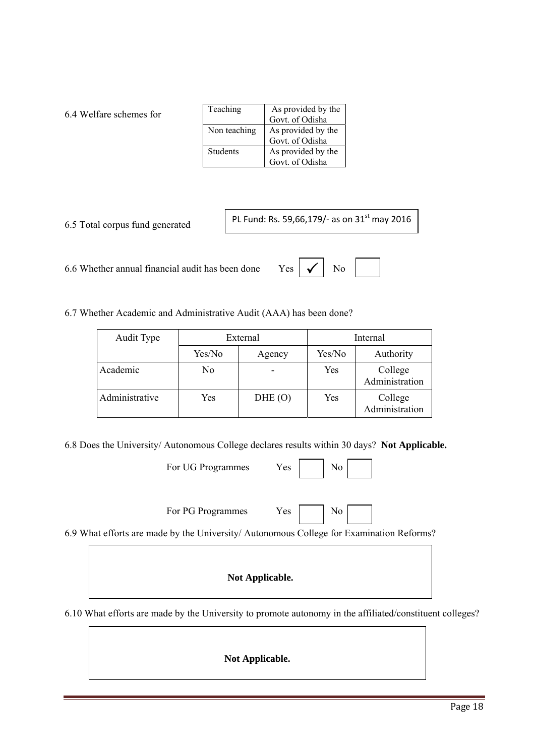#### 6.4 Welfare schemes for

| Teaching        | As provided by the<br>Govt. of Odisha |
|-----------------|---------------------------------------|
| Non teaching    | As provided by the<br>Govt. of Odisha |
| <b>Students</b> | As provided by the<br>Govt. of Odisha |

6.5 Total corpus fund generated

PL Fund: Rs. 59,66,179/- as on 31<sup>st</sup> may 2016

6.6 Whether annual financial audit has been done Yes

6.7 Whether Academic and Administrative Audit (AAA) has been done?

| Audit Type     | External |        | Internal |                           |
|----------------|----------|--------|----------|---------------------------|
|                | Yes/No   | Agency | Yes/No   | Authority                 |
| Academic       | N0       |        | Yes      | College<br>Administration |
| Administrative | Yes      | DHE(O) | Yes      | College<br>Administration |

6.8 Does the University/ Autonomous College declares results within 30 days? **Not Applicable.**

| For UG Programmes | Yes |  |  |
|-------------------|-----|--|--|
|                   |     |  |  |

For PG Programmes Yes

| ۰, |
|----|
|----|

6.9 What efforts are made by the University/ Autonomous College for Examination Reforms?

**Not Applicable.**

6.10 What efforts are made by the University to promote autonomy in the affiliated/constituent colleges?

**Not Applicable.**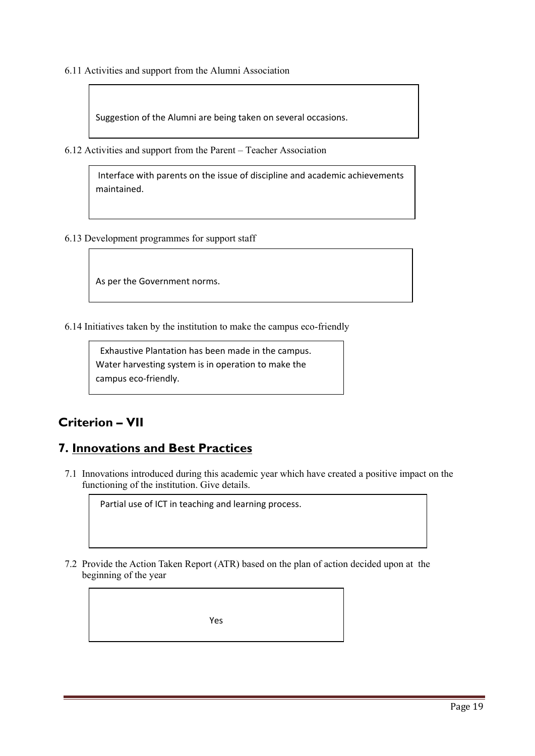6.11 Activities and support from the Alumni Association

Suggestion of the Alumni are being taken on several occasions.

6.12 Activities and support from the Parent – Teacher Association

Interface with parents on the issue of discipline and academic achievements maintained.

6.13 Development programmes for support staff

As per the Government norms.

6.14 Initiatives taken by the institution to make the campus eco-friendly

 Exhaustive Plantation has been made in the campus. Water harvesting system is in operation to make the campus eco-friendly.

## **Criterion – VII**

## **7. Innovations and Best Practices**

7.1 Innovations introduced during this academic year which have created a positive impact on the functioning of the institution. Give details.

Partial use of ICT in teaching and learning process.

7.2 Provide the Action Taken Report (ATR) based on the plan of action decided upon at the beginning of the year

Yes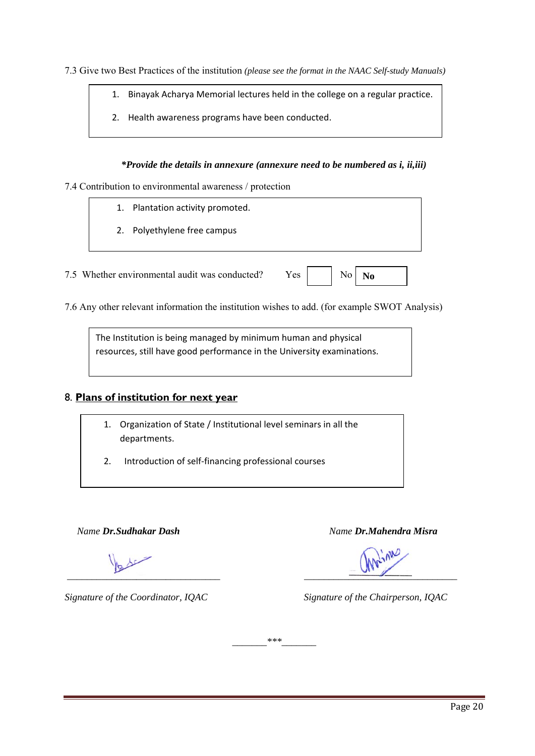7.3 Give two Best Practices of the institution *(please see the format in the NAAC Self-study Manuals)*

- 1. Binayak Acharya Memorial lectures held in the college on a regular practice.
- 2. Health awareness programs have been conducted.

#### *\*Provide the details in annexure (annexure need to be numbered as i, ii,iii)*

7.4 Contribution to environmental awareness / protection

- 1. Plantation activity promoted.
- 2. Polyethylene free campus

7.5 Whether environmental audit was conducted? Yes

| ∴NO<br>No |  |
|-----------|--|
|-----------|--|

7.6 Any other relevant information the institution wishes to add. (for example SWOT Analysis)

The Institution is being managed by minimum human and physical resources, still have good performance in the University examinations.

#### 8. **Plans of institution for next year**

- 1. Organization of State / Institutional level seminars in all the departments.
- 2. Introduction of self-financing professional courses

 *Name Dr.Sudhakar Dash Name Dr.Mahendra Misra*

 *\_\_\_\_\_\_\_\_\_\_\_\_\_\_\_\_\_\_\_\_\_\_\_\_\_\_\_\_\_\_\_ \_\_\_\_\_\_\_\_\_\_\_\_\_\_\_\_\_\_\_\_\_\_\_\_\_\_\_\_\_\_\_* 

*Signature of the Coordinator, IQAC Signature of the Chairperson, IQAC* 

 $***$